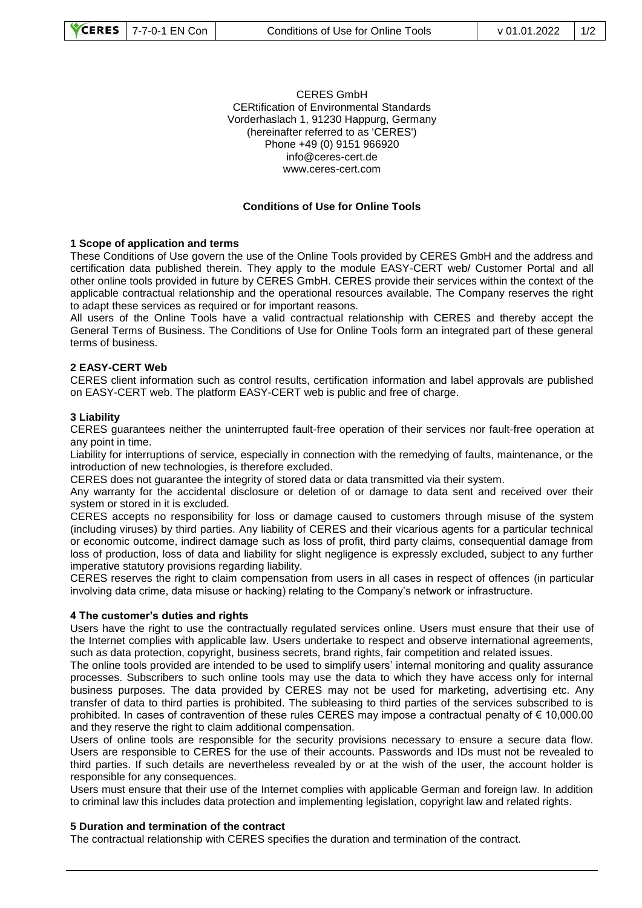#### CERES GmbH CERtification of Environmental Standards Vorderhaslach 1, 91230 Happurg, Germany (hereinafter referred to as 'CERES') Phone +49 (0) 9151 966920 info@ceres-cert.de www.ceres-cert.com

### **Conditions of Use for Online Tools**

#### **1 Scope of application and terms**

These Conditions of Use govern the use of the Online Tools provided by CERES GmbH and the address and certification data published therein. They apply to the module EASY-CERT web/ Customer Portal and all other online tools provided in future by CERES GmbH. CERES provide their services within the context of the applicable contractual relationship and the operational resources available. The Company reserves the right to adapt these services as required or for important reasons.

All users of the Online Tools have a valid contractual relationship with CERES and thereby accept the General Terms of Business. The Conditions of Use for Online Tools form an integrated part of these general terms of business.

#### **2 EASY-CERT Web**

CERES client information such as control results, certification information and label approvals are published on EASY-CERT web. The platform EASY-CERT web is public and free of charge.

#### **3 Liability**

CERES guarantees neither the uninterrupted fault-free operation of their services nor fault-free operation at any point in time.

Liability for interruptions of service, especially in connection with the remedying of faults, maintenance, or the introduction of new technologies, is therefore excluded.

CERES does not guarantee the integrity of stored data or data transmitted via their system.

Any warranty for the accidental disclosure or deletion of or damage to data sent and received over their system or stored in it is excluded.

CERES accepts no responsibility for loss or damage caused to customers through misuse of the system (including viruses) by third parties. Any liability of CERES and their vicarious agents for a particular technical or economic outcome, indirect damage such as loss of profit, third party claims, consequential damage from loss of production, loss of data and liability for slight negligence is expressly excluded, subject to any further imperative statutory provisions regarding liability.

CERES reserves the right to claim compensation from users in all cases in respect of offences (in particular involving data crime, data misuse or hacking) relating to the Company's network or infrastructure.

#### **4 The customer's duties and rights**

Users have the right to use the contractually regulated services online. Users must ensure that their use of the Internet complies with applicable law. Users undertake to respect and observe international agreements, such as data protection, copyright, business secrets, brand rights, fair competition and related issues.

The online tools provided are intended to be used to simplify users' internal monitoring and quality assurance processes. Subscribers to such online tools may use the data to which they have access only for internal business purposes. The data provided by CERES may not be used for marketing, advertising etc. Any transfer of data to third parties is prohibited. The subleasing to third parties of the services subscribed to is prohibited. In cases of contravention of these rules CERES may impose a contractual penalty of € 10,000.00 and they reserve the right to claim additional compensation.

Users of online tools are responsible for the security provisions necessary to ensure a secure data flow. Users are responsible to CERES for the use of their accounts. Passwords and IDs must not be revealed to third parties. If such details are nevertheless revealed by or at the wish of the user, the account holder is responsible for any consequences.

Users must ensure that their use of the Internet complies with applicable German and foreign law. In addition to criminal law this includes data protection and implementing legislation, copyright law and related rights.

#### **5 Duration and termination of the contract**

The contractual relationship with CERES specifies the duration and termination of the contract.